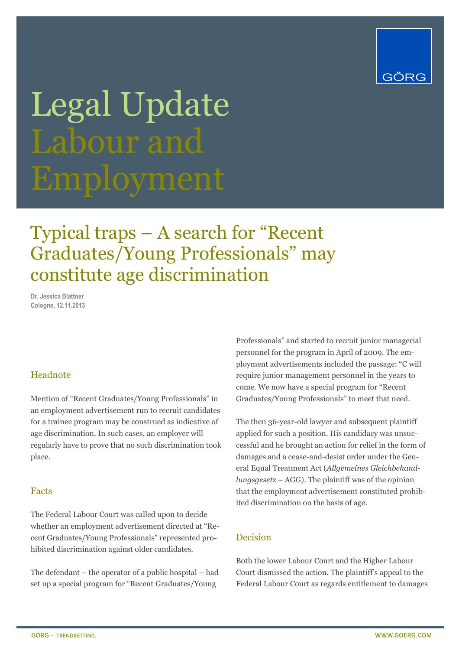

# Legal Update Labour and

### Typical traps – A search for "Recent Graduates/Young Professionals" may constitute age discrimination

**Dr. Jessica Blattner Cologne, 12.11.2013**

#### Headnote

Mention of "Recent Graduates/Young Professionals" in an employment advertisement run to recruit candidates for a trainee program may be construed as indicative of age discrimination. In such cases, an employer will regularly have to prove that no such discrimination took place.

#### Facts

The Federal Labour Court was called upon to decide whether an employment advertisement directed at "Recent Graduates/Young Professionals" represented prohibited discrimination against older candidates.

The defendant – the operator of a public hospital – had set up a special program for "Recent Graduates/Young

Professionals" and started to recruit junior managerial personnel for the program in April of 2009. The employment advertisements included the passage: "C will require junior management personnel in the years to come. We now have a special program for "Recent Graduates/Young Professionals" to meet that need.

The then 36-year-old lawyer and subsequent plaintiff applied for such a position. His candidacy was unsuccessful and he brought an action for relief in the form of damages and a cease-and-desist order under the General Equal Treatment Act (*Allgemeines Gleichbehandlungsgesetz* – AGG). The plaintiff was of the opinion that the employment advertisement constituted prohibited discrimination on the basis of age.

#### Decision

Both the lower Labour Court and the Higher Labour Court dismissed the action. The plaintiff's appeal to the Federal Labour Court as regards entitlement to damages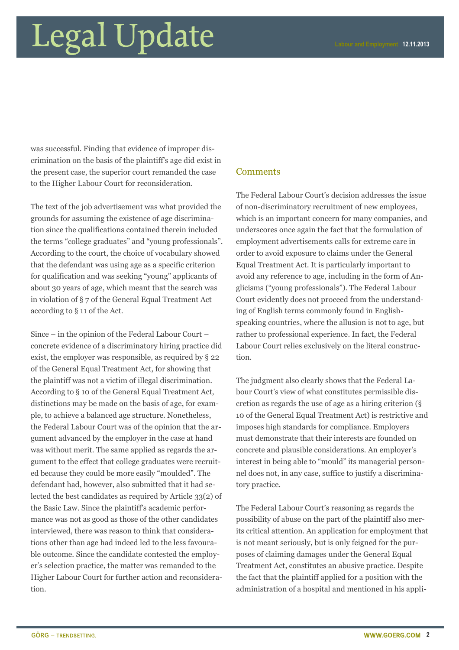### Legal Update

was successful. Finding that evidence of improper discrimination on the basis of the plaintiff's age did exist in the present case, the superior court remanded the case to the Higher Labour Court for reconsideration.

The text of the job advertisement was what provided the grounds for assuming the existence of age discrimination since the qualifications contained therein included the terms "college graduates" and "young professionals". According to the court, the choice of vocabulary showed that the defendant was using age as a specific criterion for qualification and was seeking "young" applicants of about 30 years of age, which meant that the search was in violation of § 7 of the General Equal Treatment Act according to § 11 of the Act.

Since – in the opinion of the Federal Labour Court – concrete evidence of a discriminatory hiring practice did exist, the employer was responsible, as required by § 22 of the General Equal Treatment Act, for showing that the plaintiff was not a victim of illegal discrimination. According to § 10 of the General Equal Treatment Act, distinctions may be made on the basis of age, for example, to achieve a balanced age structure. Nonetheless, the Federal Labour Court was of the opinion that the argument advanced by the employer in the case at hand was without merit. The same applied as regards the argument to the effect that college graduates were recruited because they could be more easily "moulded". The defendant had, however, also submitted that it had selected the best candidates as required by Article 33(2) of the Basic Law. Since the plaintiff's academic performance was not as good as those of the other candidates interviewed, there was reason to think that considerations other than age had indeed led to the less favourable outcome. Since the candidate contested the employer's selection practice, the matter was remanded to the Higher Labour Court for further action and reconsideration.

#### **Comments**

The Federal Labour Court's decision addresses the issue of non-discriminatory recruitment of new employees, which is an important concern for many companies, and underscores once again the fact that the formulation of employment advertisements calls for extreme care in order to avoid exposure to claims under the General Equal Treatment Act. It is particularly important to avoid any reference to age, including in the form of Anglicisms ("young professionals"). The Federal Labour Court evidently does not proceed from the understanding of English terms commonly found in Englishspeaking countries, where the allusion is not to age, but rather to professional experience. In fact, the Federal Labour Court relies exclusively on the literal construction.

The judgment also clearly shows that the Federal Labour Court's view of what constitutes permissible discretion as regards the use of age as a hiring criterion (§ 10 of the General Equal Treatment Act) is restrictive and imposes high standards for compliance. Employers must demonstrate that their interests are founded on concrete and plausible considerations. An employer's interest in being able to "mould" its managerial personnel does not, in any case, suffice to justify a discriminatory practice.

The Federal Labour Court's reasoning as regards the possibility of abuse on the part of the plaintiff also merits critical attention. An application for employment that is not meant seriously, but is only feigned for the purposes of claiming damages under the General Equal Treatment Act, constitutes an abusive practice. Despite the fact that the plaintiff applied for a position with the administration of a hospital and mentioned in his appli-